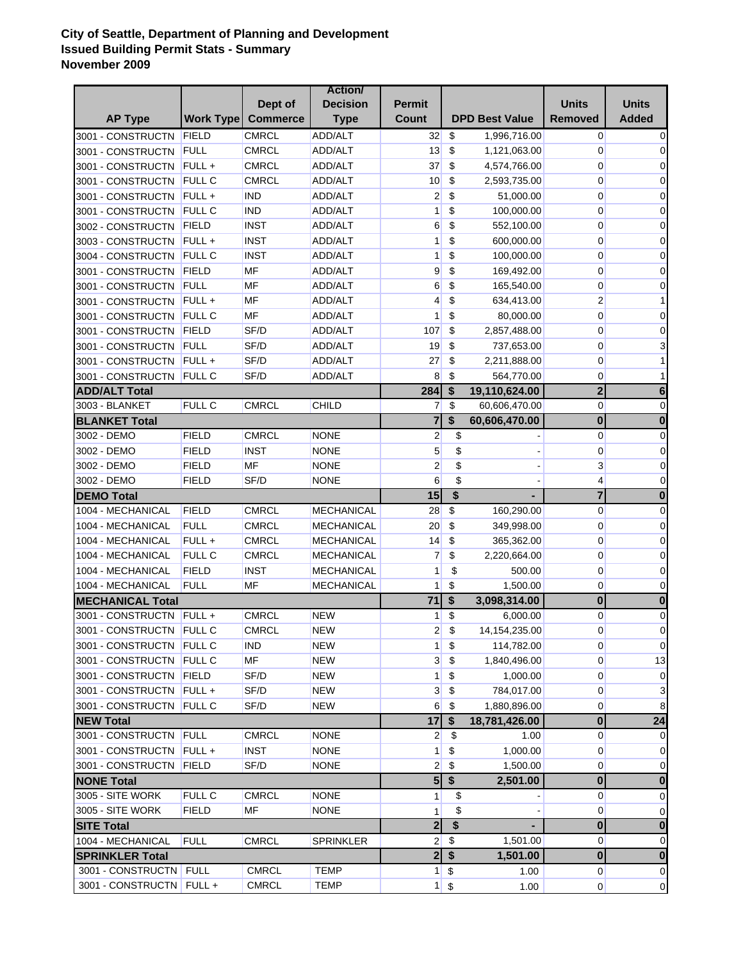## **City of Seattle, Department of Planning and Development Issued Building Permit Stats - Summary November 2009**

|                            |                  |                 | <b>Action</b>     |                 |                           |                       |                         |                |
|----------------------------|------------------|-----------------|-------------------|-----------------|---------------------------|-----------------------|-------------------------|----------------|
|                            |                  | Dept of         | <b>Decision</b>   | <b>Permit</b>   |                           |                       | <b>Units</b>            | <b>Units</b>   |
| <b>AP Type</b>             | <b>Work Type</b> | <b>Commerce</b> | <b>Type</b>       | Count           |                           | <b>DPD Best Value</b> | <b>Removed</b>          | <b>Added</b>   |
| 3001 - CONSTRUCTN          | FIELD            | <b>CMRCL</b>    | ADD/ALT           | 32              | \$                        | 1,996,716.00          | $\overline{0}$          | 0              |
| 3001 - CONSTRUCTN          | <b>FULL</b>      | <b>CMRCL</b>    | ADD/ALT           | 13              | \$                        | 1,121,063.00          | 0                       | 0              |
| 3001 - CONSTRUCTN          | FULL+            | <b>CMRCL</b>    | ADD/ALT           | 37              | \$                        | 4,574,766.00          | 0                       | 0              |
| 3001 - CONSTRUCTN          | <b>FULL C</b>    | <b>CMRCL</b>    | ADD/ALT           | 10 <sup>°</sup> | \$                        | 2,593,735.00          | 0                       | 0              |
| 3001 - CONSTRUCTN          | FULL+            | <b>IND</b>      | ADD/ALT           | 2               | \$                        | 51,000.00             | 0                       | 0              |
| 3001 - CONSTRUCTN          | <b>FULL C</b>    | <b>IND</b>      | ADD/ALT           | 1               | \$                        | 100,000.00            | 0                       | 0              |
| 3002 - CONSTRUCTN          | FIELD            | <b>INST</b>     | ADD/ALT           | 6               | \$                        | 552,100.00            | 0                       | 0              |
| 3003 - CONSTRUCTN          | $FULL +$         | <b>INST</b>     | ADD/ALT           | 1               | \$                        | 600,000.00            | 0                       | 0              |
| 3004 - CONSTRUCTN          | <b>FULL C</b>    | <b>INST</b>     | ADD/ALT           | 1               | \$                        | 100,000.00            | 0                       | 0              |
| 3001 - CONSTRUCTN          | FIELD            | MF              | ADD/ALT           | 9               | \$                        | 169,492.00            | 0                       | 0              |
| 3001 - CONSTRUCTN          | <b>FULL</b>      | MF              | ADD/ALT           | 6               | \$                        | 165,540.00            | 0                       | 0              |
| 3001 - CONSTRUCTN          | $FULL +$         | MF              | ADD/ALT           | 4               | \$                        | 634,413.00            | $\overline{2}$          | 1              |
| 3001 - CONSTRUCTN          | <b>FULL C</b>    | MF              | ADD/ALT           | 1               | \$                        | 80,000.00             | 0                       | 0              |
| 3001 - CONSTRUCTN          | <b>FIELD</b>     | SF/D            | <b>ADD/ALT</b>    | 107             | \$                        | 2,857,488.00          | 0                       | 0              |
| 3001 - CONSTRUCTN          | <b>FULL</b>      | SF/D            | ADD/ALT           | 19              | \$                        | 737,653.00            | 0                       | 3              |
| 3001 - CONSTRUCTN          | $FULL +$         | SF/D            | ADD/ALT           | 27              | \$                        | 2,211,888.00          | 0                       | 1              |
| 3001 - CONSTRUCTN          | <b>FULL C</b>    | SF/D            | <b>ADD/ALT</b>    | 8               | \$                        | 564,770.00            | 0                       |                |
| <b>ADD/ALT Total</b>       |                  |                 |                   | 284             | $\boldsymbol{\mathsf{s}}$ | 19,110,624.00         | $\overline{2}$          | 6              |
| 3003 - BLANKET             | <b>FULL C</b>    | CMRCL           | CHILD             | $\overline{7}$  | \$                        | 60,606,470.00         | $\overline{0}$          | 0              |
| <b>BLANKET Total</b>       |                  |                 |                   | $\overline{7}$  | \$                        | 60,606,470.00         | $\mathbf 0$             | $\bf{0}$       |
| 3002 - DEMO                | <b>FIELD</b>     | <b>CMRCL</b>    | <b>NONE</b>       | $\overline{c}$  | \$                        |                       | $\overline{0}$          | $\mathbf 0$    |
| 3002 - DEMO                | <b>FIELD</b>     | <b>INST</b>     | <b>NONE</b>       | 5               | \$                        |                       | 0                       | 0              |
| 3002 - DEMO                | <b>FIELD</b>     | MF              | <b>NONE</b>       | $\overline{2}$  | \$                        |                       | 3                       | 0              |
| 3002 - DEMO                | <b>FIELD</b>     | SF/D            | <b>NONE</b>       | 6               | \$                        |                       | 4                       | 0              |
| <b>DEMO Total</b>          |                  |                 |                   | 15              | \$                        |                       | $\overline{\mathbf{7}}$ | $\bf{0}$       |
| 1004 - MECHANICAL          | <b>FIELD</b>     | <b>CMRCL</b>    | <b>MECHANICAL</b> | 28              | \$                        | 160,290.00            | $\overline{0}$          | 0              |
| 1004 - MECHANICAL          | <b>FULL</b>      | <b>CMRCL</b>    | <b>MECHANICAL</b> | 20              | \$                        | 349,998.00            | 0                       | 0              |
| 1004 - MECHANICAL          | FULL+            | <b>CMRCL</b>    | MECHANICAL        | 14              | \$                        | 365,362.00            | 0                       | 0              |
| 1004 - MECHANICAL          | <b>FULL C</b>    | <b>CMRCL</b>    | <b>MECHANICAL</b> | 7               | \$                        | 2,220,664.00          | 0                       | 0              |
| 1004 - MECHANICAL          | <b>FIELD</b>     | <b>INST</b>     | <b>MECHANICAL</b> | 1               | \$                        | 500.00                | 0                       | 0              |
| 1004 - MECHANICAL          | <b>FULL</b>      | MF              | MECHANICAL        | 1               | \$                        | 1,500.00              | 0                       | 0              |
| <b>MECHANICAL Total</b>    |                  |                 |                   | 71              | \$                        | 3,098,314.00          | $\mathbf 0$             | $\bf{0}$       |
| 3001 - CONSTRUCTN          | $FULL +$         | CMRCL           | <b>NEW</b>        | 1               | \$                        | 6,000.00              | $\overline{0}$          | 0              |
| 3001 - CONSTRUCTN FULL C   |                  | <b>CMRCL</b>    | <b>NEW</b>        | $2\vert$        | $\sqrt{2}$                | 14, 154, 235.00       | $\overline{0}$          | $\overline{0}$ |
| 3001 - CONSTRUCTN FULL C   |                  | ind             | NEW               | 1               | \$                        | 114,782.00            | 0                       | $\mathbf 0$    |
| 3001 - CONSTRUCTN          | <b>FULL C</b>    | MF              | <b>NEW</b>        | 3               | \$                        | 1,840,496.00          | 0                       | 13             |
| 3001 - CONSTRUCTN          | <b>FIELD</b>     | SF/D            | NEW               | 1               | \$                        | 1,000.00              | $\overline{0}$          | 0              |
| 3001 - CONSTRUCTN          | $FULL +$         | SF/D            | NEW               | 3               | \$                        | 784,017.00            | 0                       | 3              |
| 3001 - CONSTRUCTN          | <b>FULL C</b>    | SF/D            | <b>NEW</b>        | 6               | \$                        | 1,880,896.00          | $\overline{0}$          | 8              |
| <b>NEW Total</b>           |                  |                 |                   | 17              | $\boldsymbol{\hat{s}}$    | 18,781,426.00         | $\mathbf 0$             | 24             |
| 3001 - CONSTRUCTN FULL     |                  | CMRCL           | <b>NONE</b>       | $\overline{2}$  | \$                        | 1.00                  | $\overline{0}$          | 0              |
| 3001 - CONSTRUCTN          | $FULL +$         | <b>INST</b>     | <b>NONE</b>       | 1               | \$                        | 1,000.00              | 0                       | 0              |
| 3001 - CONSTRUCTN          | FIELD            | SF/D            | <b>NONE</b>       | $\overline{2}$  | \$                        | 1,500.00              | $\overline{0}$          | 0              |
| <b>NONE Total</b>          |                  |                 |                   | 5 <sup>1</sup>  | \$                        | 2,501.00              | $\mathbf 0$             | $\bf{0}$       |
| 3005 - SITE WORK           | <b>FULL C</b>    | <b>CMRCL</b>    | <b>NONE</b>       | 1               | \$                        |                       | $\overline{0}$          | 0              |
| 3005 - SITE WORK           | <b>FIELD</b>     | MF              | <b>NONE</b>       | 1               | \$                        |                       | $\overline{0}$          | 0              |
| <b>SITE Total</b>          |                  |                 |                   | $\overline{2}$  | \$                        |                       | $\mathbf 0$             | $\bf{0}$       |
| 1004 - MECHANICAL          | <b>FULL</b>      | <b>CMRCL</b>    | <b>SPRINKLER</b>  | $\overline{2}$  | \$                        | 1,501.00              | $\overline{0}$          | 0              |
| <b>SPRINKLER Total</b>     |                  |                 |                   | 2 <sup>1</sup>  | $\boldsymbol{\hat{s}}$    | 1,501.00              | $\overline{\mathbf{0}}$ | $\bf{0}$       |
| 3001 - CONSTRUCTN FULL     |                  | <b>CMRCL</b>    | <b>TEMP</b>       | $\mathbf{1}$    | \$                        | 1.00                  | $\overline{0}$          | $\pmb{0}$      |
| 3001 - CONSTRUCTN   FULL + |                  | <b>CMRCL</b>    | <b>TEMP</b>       |                 | $1 \,$ \$                 | 1.00                  | $\overline{0}$          | $\overline{0}$ |